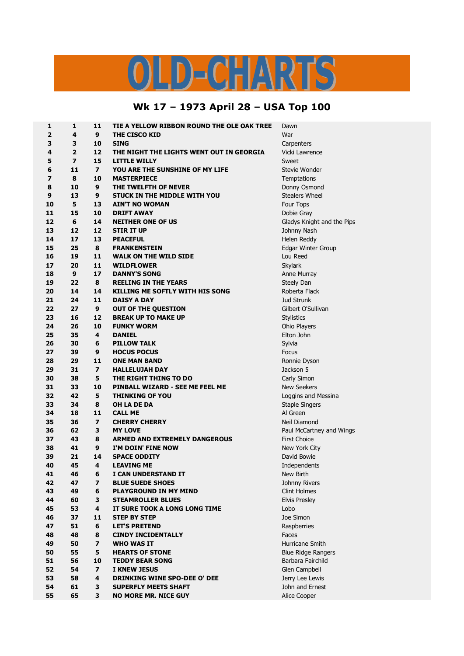## OLD-CHARTS

## **Wk 17 – 1973 April 28 – USA Top 100**

| 9<br>War<br>2<br>4<br><b>THE CISCO KID</b><br>3<br>3<br><b>SING</b><br>10<br>Carpenters<br>$\overline{2}$<br>4<br>12<br>Vicki Lawrence<br>THE NIGHT THE LIGHTS WENT OUT IN GEORGIA<br>7<br>5<br>15<br><b>LITTLE WILLY</b><br>Sweet<br>6<br>11<br>$\overline{ }$<br>YOU ARE THE SUNSHINE OF MY LIFE<br>Stevie Wonder<br>7<br>8<br>10<br><b>MASTERPIECE</b><br>Temptations<br>10<br>9<br>THE TWELFTH OF NEVER<br>8<br>Donny Osmond<br>13<br>9<br>STUCK IN THE MIDDLE WITH YOU<br><b>Stealers Wheel</b><br>9<br>10<br>5<br>13<br>Four Tops<br><b>AIN'T NO WOMAN</b><br>15<br>10<br>11<br><b>DRIFT AWAY</b><br>Dobie Gray<br>6<br>12<br>14<br><b>NEITHER ONE OF US</b><br>Gladys Knight and the Pips<br>13<br>12<br>12<br>STIR IT UP<br>Johnny Nash<br>17<br>14<br>13<br>Helen Reddy<br><b>PEACEFUL</b><br>15<br>25<br>8<br>Edgar Winter Group<br><b>FRANKENSTEIN</b><br>16<br>19<br>11<br><b>WALK ON THE WILD SIDE</b><br>Lou Reed<br>17<br>20<br>11<br><b>WILDFLOWER</b><br><b>Skylark</b><br>9<br>18<br>17<br><b>DANNY'S SONG</b><br>Anne Murray<br>22<br>19<br>8<br><b>REELING IN THE YEARS</b><br>Steely Dan<br>20<br>14<br>14<br>KILLING ME SOFTLY WITH HIS SONG<br>Roberta Flack<br>21<br>24<br>11<br><b>DAISY A DAY</b><br><b>Jud Strunk</b><br>22<br>27<br>9<br><b>OUT OF THE QUESTION</b><br>Gilbert O'Sullivan<br>16<br><b>BREAK UP TO MAKE UP</b><br>23<br>12<br><b>Stylistics</b><br>24<br>26<br>10<br><b>FUNKY WORM</b><br>Ohio Players<br>25<br>35<br>4<br>Elton John<br><b>DANIEL</b><br>26<br>30<br>6<br><b>PILLOW TALK</b><br>Sylvia<br>27<br>39<br>9<br><b>HOCUS POCUS</b><br>Focus<br>28<br>29<br>11<br><b>ONE MAN BAND</b><br>Ronnie Dyson<br>29<br>31<br>$\overline{\mathbf{z}}$<br>Jackson 5<br><b>HALLELUJAH DAY</b><br>38<br>30<br>5<br>THE RIGHT THING TO DO<br>Carly Simon<br>31<br>33<br>10<br>PINBALL WIZARD - SEE ME FEEL ME<br><b>New Seekers</b><br>32<br>42<br>5<br><b>THINKING OF YOU</b><br>Loggins and Messina<br>33<br>34<br>8<br>OH LA DE DA<br><b>Staple Singers</b><br>18<br>11<br>Al Green<br>34<br><b>CALL ME</b><br>35<br>36<br>$\overline{ }$<br><b>CHERRY CHERRY</b><br>Neil Diamond<br>62<br>3<br>36<br><b>MY LOVE</b><br>Paul McCartney and Wings<br>43<br><b>First Choice</b><br>37<br>8<br><b>ARMED AND EXTREMELY DANGEROUS</b><br>41<br>38<br>9<br>I'M DOIN' FINE NOW<br>New York City<br>39<br>21<br><b>SPACE ODDITY</b><br>David Bowie<br>14<br>40<br>45<br>4<br><b>LEAVING ME</b><br>Independents<br>41<br>46<br>6<br>I CAN UNDERSTAND IT<br>New Birth<br>42<br>47<br>$\overline{\mathbf{z}}$<br><b>BLUE SUEDE SHOES</b><br>Johnny Rivers<br>43<br>49<br><b>PLAYGROUND IN MY MIND</b><br>6<br><b>Clint Holmes</b><br>44<br>60<br><b>STEAMROLLER BLUES</b><br><b>Elvis Presley</b><br>3<br>45<br>53<br>4<br>IT SURE TOOK A LONG LONG TIME<br>Lobo<br>46<br>37<br>11<br><b>STEP BY STEP</b><br>Joe Simon<br>51<br>47<br>6<br><b>LET'S PRETEND</b><br>Raspberries<br>48<br>48<br>8<br><b>CINDY INCIDENTALLY</b><br>Faces<br>49<br>50<br>$\overline{\mathbf{z}}$<br><b>WHO WAS IT</b><br>Hurricane Smith<br>50<br>55<br>5<br><b>HEARTS OF STONE</b><br><b>Blue Ridge Rangers</b><br>51<br>56<br>Barbara Fairchild<br>10<br><b>TEDDY BEAR SONG</b><br>52<br>54<br>$\overline{ }$<br>I KNEW JESUS<br>Glen Campbell<br>53<br>58<br>4<br><b>DRINKING WINE SPO-DEE O' DEE</b><br>Jerry Lee Lewis<br>61<br>John and Ernest<br>54<br>3<br><b>SUPERFLY MEETS SHAFT</b><br>55<br>65<br>3<br><b>NO MORE MR. NICE GUY</b><br>Alice Cooper | 1 | 1 | 11 | TIE A YELLOW RIBBON ROUND THE OLE OAK TREE | Dawn |
|-----------------------------------------------------------------------------------------------------------------------------------------------------------------------------------------------------------------------------------------------------------------------------------------------------------------------------------------------------------------------------------------------------------------------------------------------------------------------------------------------------------------------------------------------------------------------------------------------------------------------------------------------------------------------------------------------------------------------------------------------------------------------------------------------------------------------------------------------------------------------------------------------------------------------------------------------------------------------------------------------------------------------------------------------------------------------------------------------------------------------------------------------------------------------------------------------------------------------------------------------------------------------------------------------------------------------------------------------------------------------------------------------------------------------------------------------------------------------------------------------------------------------------------------------------------------------------------------------------------------------------------------------------------------------------------------------------------------------------------------------------------------------------------------------------------------------------------------------------------------------------------------------------------------------------------------------------------------------------------------------------------------------------------------------------------------------------------------------------------------------------------------------------------------------------------------------------------------------------------------------------------------------------------------------------------------------------------------------------------------------------------------------------------------------------------------------------------------------------------------------------------------------------------------------------------------------------------------------------------------------------------------------------------------------------------------------------------------------------------------------------------------------------------------------------------------------------------------------------------------------------------------------------------------------------------------------------------------------------------------------------------------------------------------------------------------------------------------------------------------------------------------------------------------------------------------------------------------------------------------------------------------------------------------------------------------------------------------------------------------------------------------------------------------------------------------------------------------------------|---|---|----|--------------------------------------------|------|
|                                                                                                                                                                                                                                                                                                                                                                                                                                                                                                                                                                                                                                                                                                                                                                                                                                                                                                                                                                                                                                                                                                                                                                                                                                                                                                                                                                                                                                                                                                                                                                                                                                                                                                                                                                                                                                                                                                                                                                                                                                                                                                                                                                                                                                                                                                                                                                                                                                                                                                                                                                                                                                                                                                                                                                                                                                                                                                                                                                                                                                                                                                                                                                                                                                                                                                                                                                                                                                                                             |   |   |    |                                            |      |
|                                                                                                                                                                                                                                                                                                                                                                                                                                                                                                                                                                                                                                                                                                                                                                                                                                                                                                                                                                                                                                                                                                                                                                                                                                                                                                                                                                                                                                                                                                                                                                                                                                                                                                                                                                                                                                                                                                                                                                                                                                                                                                                                                                                                                                                                                                                                                                                                                                                                                                                                                                                                                                                                                                                                                                                                                                                                                                                                                                                                                                                                                                                                                                                                                                                                                                                                                                                                                                                                             |   |   |    |                                            |      |
|                                                                                                                                                                                                                                                                                                                                                                                                                                                                                                                                                                                                                                                                                                                                                                                                                                                                                                                                                                                                                                                                                                                                                                                                                                                                                                                                                                                                                                                                                                                                                                                                                                                                                                                                                                                                                                                                                                                                                                                                                                                                                                                                                                                                                                                                                                                                                                                                                                                                                                                                                                                                                                                                                                                                                                                                                                                                                                                                                                                                                                                                                                                                                                                                                                                                                                                                                                                                                                                                             |   |   |    |                                            |      |
|                                                                                                                                                                                                                                                                                                                                                                                                                                                                                                                                                                                                                                                                                                                                                                                                                                                                                                                                                                                                                                                                                                                                                                                                                                                                                                                                                                                                                                                                                                                                                                                                                                                                                                                                                                                                                                                                                                                                                                                                                                                                                                                                                                                                                                                                                                                                                                                                                                                                                                                                                                                                                                                                                                                                                                                                                                                                                                                                                                                                                                                                                                                                                                                                                                                                                                                                                                                                                                                                             |   |   |    |                                            |      |
|                                                                                                                                                                                                                                                                                                                                                                                                                                                                                                                                                                                                                                                                                                                                                                                                                                                                                                                                                                                                                                                                                                                                                                                                                                                                                                                                                                                                                                                                                                                                                                                                                                                                                                                                                                                                                                                                                                                                                                                                                                                                                                                                                                                                                                                                                                                                                                                                                                                                                                                                                                                                                                                                                                                                                                                                                                                                                                                                                                                                                                                                                                                                                                                                                                                                                                                                                                                                                                                                             |   |   |    |                                            |      |
|                                                                                                                                                                                                                                                                                                                                                                                                                                                                                                                                                                                                                                                                                                                                                                                                                                                                                                                                                                                                                                                                                                                                                                                                                                                                                                                                                                                                                                                                                                                                                                                                                                                                                                                                                                                                                                                                                                                                                                                                                                                                                                                                                                                                                                                                                                                                                                                                                                                                                                                                                                                                                                                                                                                                                                                                                                                                                                                                                                                                                                                                                                                                                                                                                                                                                                                                                                                                                                                                             |   |   |    |                                            |      |
|                                                                                                                                                                                                                                                                                                                                                                                                                                                                                                                                                                                                                                                                                                                                                                                                                                                                                                                                                                                                                                                                                                                                                                                                                                                                                                                                                                                                                                                                                                                                                                                                                                                                                                                                                                                                                                                                                                                                                                                                                                                                                                                                                                                                                                                                                                                                                                                                                                                                                                                                                                                                                                                                                                                                                                                                                                                                                                                                                                                                                                                                                                                                                                                                                                                                                                                                                                                                                                                                             |   |   |    |                                            |      |
|                                                                                                                                                                                                                                                                                                                                                                                                                                                                                                                                                                                                                                                                                                                                                                                                                                                                                                                                                                                                                                                                                                                                                                                                                                                                                                                                                                                                                                                                                                                                                                                                                                                                                                                                                                                                                                                                                                                                                                                                                                                                                                                                                                                                                                                                                                                                                                                                                                                                                                                                                                                                                                                                                                                                                                                                                                                                                                                                                                                                                                                                                                                                                                                                                                                                                                                                                                                                                                                                             |   |   |    |                                            |      |
|                                                                                                                                                                                                                                                                                                                                                                                                                                                                                                                                                                                                                                                                                                                                                                                                                                                                                                                                                                                                                                                                                                                                                                                                                                                                                                                                                                                                                                                                                                                                                                                                                                                                                                                                                                                                                                                                                                                                                                                                                                                                                                                                                                                                                                                                                                                                                                                                                                                                                                                                                                                                                                                                                                                                                                                                                                                                                                                                                                                                                                                                                                                                                                                                                                                                                                                                                                                                                                                                             |   |   |    |                                            |      |
|                                                                                                                                                                                                                                                                                                                                                                                                                                                                                                                                                                                                                                                                                                                                                                                                                                                                                                                                                                                                                                                                                                                                                                                                                                                                                                                                                                                                                                                                                                                                                                                                                                                                                                                                                                                                                                                                                                                                                                                                                                                                                                                                                                                                                                                                                                                                                                                                                                                                                                                                                                                                                                                                                                                                                                                                                                                                                                                                                                                                                                                                                                                                                                                                                                                                                                                                                                                                                                                                             |   |   |    |                                            |      |
|                                                                                                                                                                                                                                                                                                                                                                                                                                                                                                                                                                                                                                                                                                                                                                                                                                                                                                                                                                                                                                                                                                                                                                                                                                                                                                                                                                                                                                                                                                                                                                                                                                                                                                                                                                                                                                                                                                                                                                                                                                                                                                                                                                                                                                                                                                                                                                                                                                                                                                                                                                                                                                                                                                                                                                                                                                                                                                                                                                                                                                                                                                                                                                                                                                                                                                                                                                                                                                                                             |   |   |    |                                            |      |
|                                                                                                                                                                                                                                                                                                                                                                                                                                                                                                                                                                                                                                                                                                                                                                                                                                                                                                                                                                                                                                                                                                                                                                                                                                                                                                                                                                                                                                                                                                                                                                                                                                                                                                                                                                                                                                                                                                                                                                                                                                                                                                                                                                                                                                                                                                                                                                                                                                                                                                                                                                                                                                                                                                                                                                                                                                                                                                                                                                                                                                                                                                                                                                                                                                                                                                                                                                                                                                                                             |   |   |    |                                            |      |
|                                                                                                                                                                                                                                                                                                                                                                                                                                                                                                                                                                                                                                                                                                                                                                                                                                                                                                                                                                                                                                                                                                                                                                                                                                                                                                                                                                                                                                                                                                                                                                                                                                                                                                                                                                                                                                                                                                                                                                                                                                                                                                                                                                                                                                                                                                                                                                                                                                                                                                                                                                                                                                                                                                                                                                                                                                                                                                                                                                                                                                                                                                                                                                                                                                                                                                                                                                                                                                                                             |   |   |    |                                            |      |
|                                                                                                                                                                                                                                                                                                                                                                                                                                                                                                                                                                                                                                                                                                                                                                                                                                                                                                                                                                                                                                                                                                                                                                                                                                                                                                                                                                                                                                                                                                                                                                                                                                                                                                                                                                                                                                                                                                                                                                                                                                                                                                                                                                                                                                                                                                                                                                                                                                                                                                                                                                                                                                                                                                                                                                                                                                                                                                                                                                                                                                                                                                                                                                                                                                                                                                                                                                                                                                                                             |   |   |    |                                            |      |
|                                                                                                                                                                                                                                                                                                                                                                                                                                                                                                                                                                                                                                                                                                                                                                                                                                                                                                                                                                                                                                                                                                                                                                                                                                                                                                                                                                                                                                                                                                                                                                                                                                                                                                                                                                                                                                                                                                                                                                                                                                                                                                                                                                                                                                                                                                                                                                                                                                                                                                                                                                                                                                                                                                                                                                                                                                                                                                                                                                                                                                                                                                                                                                                                                                                                                                                                                                                                                                                                             |   |   |    |                                            |      |
|                                                                                                                                                                                                                                                                                                                                                                                                                                                                                                                                                                                                                                                                                                                                                                                                                                                                                                                                                                                                                                                                                                                                                                                                                                                                                                                                                                                                                                                                                                                                                                                                                                                                                                                                                                                                                                                                                                                                                                                                                                                                                                                                                                                                                                                                                                                                                                                                                                                                                                                                                                                                                                                                                                                                                                                                                                                                                                                                                                                                                                                                                                                                                                                                                                                                                                                                                                                                                                                                             |   |   |    |                                            |      |
|                                                                                                                                                                                                                                                                                                                                                                                                                                                                                                                                                                                                                                                                                                                                                                                                                                                                                                                                                                                                                                                                                                                                                                                                                                                                                                                                                                                                                                                                                                                                                                                                                                                                                                                                                                                                                                                                                                                                                                                                                                                                                                                                                                                                                                                                                                                                                                                                                                                                                                                                                                                                                                                                                                                                                                                                                                                                                                                                                                                                                                                                                                                                                                                                                                                                                                                                                                                                                                                                             |   |   |    |                                            |      |
|                                                                                                                                                                                                                                                                                                                                                                                                                                                                                                                                                                                                                                                                                                                                                                                                                                                                                                                                                                                                                                                                                                                                                                                                                                                                                                                                                                                                                                                                                                                                                                                                                                                                                                                                                                                                                                                                                                                                                                                                                                                                                                                                                                                                                                                                                                                                                                                                                                                                                                                                                                                                                                                                                                                                                                                                                                                                                                                                                                                                                                                                                                                                                                                                                                                                                                                                                                                                                                                                             |   |   |    |                                            |      |
|                                                                                                                                                                                                                                                                                                                                                                                                                                                                                                                                                                                                                                                                                                                                                                                                                                                                                                                                                                                                                                                                                                                                                                                                                                                                                                                                                                                                                                                                                                                                                                                                                                                                                                                                                                                                                                                                                                                                                                                                                                                                                                                                                                                                                                                                                                                                                                                                                                                                                                                                                                                                                                                                                                                                                                                                                                                                                                                                                                                                                                                                                                                                                                                                                                                                                                                                                                                                                                                                             |   |   |    |                                            |      |
|                                                                                                                                                                                                                                                                                                                                                                                                                                                                                                                                                                                                                                                                                                                                                                                                                                                                                                                                                                                                                                                                                                                                                                                                                                                                                                                                                                                                                                                                                                                                                                                                                                                                                                                                                                                                                                                                                                                                                                                                                                                                                                                                                                                                                                                                                                                                                                                                                                                                                                                                                                                                                                                                                                                                                                                                                                                                                                                                                                                                                                                                                                                                                                                                                                                                                                                                                                                                                                                                             |   |   |    |                                            |      |
|                                                                                                                                                                                                                                                                                                                                                                                                                                                                                                                                                                                                                                                                                                                                                                                                                                                                                                                                                                                                                                                                                                                                                                                                                                                                                                                                                                                                                                                                                                                                                                                                                                                                                                                                                                                                                                                                                                                                                                                                                                                                                                                                                                                                                                                                                                                                                                                                                                                                                                                                                                                                                                                                                                                                                                                                                                                                                                                                                                                                                                                                                                                                                                                                                                                                                                                                                                                                                                                                             |   |   |    |                                            |      |
|                                                                                                                                                                                                                                                                                                                                                                                                                                                                                                                                                                                                                                                                                                                                                                                                                                                                                                                                                                                                                                                                                                                                                                                                                                                                                                                                                                                                                                                                                                                                                                                                                                                                                                                                                                                                                                                                                                                                                                                                                                                                                                                                                                                                                                                                                                                                                                                                                                                                                                                                                                                                                                                                                                                                                                                                                                                                                                                                                                                                                                                                                                                                                                                                                                                                                                                                                                                                                                                                             |   |   |    |                                            |      |
|                                                                                                                                                                                                                                                                                                                                                                                                                                                                                                                                                                                                                                                                                                                                                                                                                                                                                                                                                                                                                                                                                                                                                                                                                                                                                                                                                                                                                                                                                                                                                                                                                                                                                                                                                                                                                                                                                                                                                                                                                                                                                                                                                                                                                                                                                                                                                                                                                                                                                                                                                                                                                                                                                                                                                                                                                                                                                                                                                                                                                                                                                                                                                                                                                                                                                                                                                                                                                                                                             |   |   |    |                                            |      |
|                                                                                                                                                                                                                                                                                                                                                                                                                                                                                                                                                                                                                                                                                                                                                                                                                                                                                                                                                                                                                                                                                                                                                                                                                                                                                                                                                                                                                                                                                                                                                                                                                                                                                                                                                                                                                                                                                                                                                                                                                                                                                                                                                                                                                                                                                                                                                                                                                                                                                                                                                                                                                                                                                                                                                                                                                                                                                                                                                                                                                                                                                                                                                                                                                                                                                                                                                                                                                                                                             |   |   |    |                                            |      |
|                                                                                                                                                                                                                                                                                                                                                                                                                                                                                                                                                                                                                                                                                                                                                                                                                                                                                                                                                                                                                                                                                                                                                                                                                                                                                                                                                                                                                                                                                                                                                                                                                                                                                                                                                                                                                                                                                                                                                                                                                                                                                                                                                                                                                                                                                                                                                                                                                                                                                                                                                                                                                                                                                                                                                                                                                                                                                                                                                                                                                                                                                                                                                                                                                                                                                                                                                                                                                                                                             |   |   |    |                                            |      |
|                                                                                                                                                                                                                                                                                                                                                                                                                                                                                                                                                                                                                                                                                                                                                                                                                                                                                                                                                                                                                                                                                                                                                                                                                                                                                                                                                                                                                                                                                                                                                                                                                                                                                                                                                                                                                                                                                                                                                                                                                                                                                                                                                                                                                                                                                                                                                                                                                                                                                                                                                                                                                                                                                                                                                                                                                                                                                                                                                                                                                                                                                                                                                                                                                                                                                                                                                                                                                                                                             |   |   |    |                                            |      |
|                                                                                                                                                                                                                                                                                                                                                                                                                                                                                                                                                                                                                                                                                                                                                                                                                                                                                                                                                                                                                                                                                                                                                                                                                                                                                                                                                                                                                                                                                                                                                                                                                                                                                                                                                                                                                                                                                                                                                                                                                                                                                                                                                                                                                                                                                                                                                                                                                                                                                                                                                                                                                                                                                                                                                                                                                                                                                                                                                                                                                                                                                                                                                                                                                                                                                                                                                                                                                                                                             |   |   |    |                                            |      |
|                                                                                                                                                                                                                                                                                                                                                                                                                                                                                                                                                                                                                                                                                                                                                                                                                                                                                                                                                                                                                                                                                                                                                                                                                                                                                                                                                                                                                                                                                                                                                                                                                                                                                                                                                                                                                                                                                                                                                                                                                                                                                                                                                                                                                                                                                                                                                                                                                                                                                                                                                                                                                                                                                                                                                                                                                                                                                                                                                                                                                                                                                                                                                                                                                                                                                                                                                                                                                                                                             |   |   |    |                                            |      |
|                                                                                                                                                                                                                                                                                                                                                                                                                                                                                                                                                                                                                                                                                                                                                                                                                                                                                                                                                                                                                                                                                                                                                                                                                                                                                                                                                                                                                                                                                                                                                                                                                                                                                                                                                                                                                                                                                                                                                                                                                                                                                                                                                                                                                                                                                                                                                                                                                                                                                                                                                                                                                                                                                                                                                                                                                                                                                                                                                                                                                                                                                                                                                                                                                                                                                                                                                                                                                                                                             |   |   |    |                                            |      |
|                                                                                                                                                                                                                                                                                                                                                                                                                                                                                                                                                                                                                                                                                                                                                                                                                                                                                                                                                                                                                                                                                                                                                                                                                                                                                                                                                                                                                                                                                                                                                                                                                                                                                                                                                                                                                                                                                                                                                                                                                                                                                                                                                                                                                                                                                                                                                                                                                                                                                                                                                                                                                                                                                                                                                                                                                                                                                                                                                                                                                                                                                                                                                                                                                                                                                                                                                                                                                                                                             |   |   |    |                                            |      |
|                                                                                                                                                                                                                                                                                                                                                                                                                                                                                                                                                                                                                                                                                                                                                                                                                                                                                                                                                                                                                                                                                                                                                                                                                                                                                                                                                                                                                                                                                                                                                                                                                                                                                                                                                                                                                                                                                                                                                                                                                                                                                                                                                                                                                                                                                                                                                                                                                                                                                                                                                                                                                                                                                                                                                                                                                                                                                                                                                                                                                                                                                                                                                                                                                                                                                                                                                                                                                                                                             |   |   |    |                                            |      |
|                                                                                                                                                                                                                                                                                                                                                                                                                                                                                                                                                                                                                                                                                                                                                                                                                                                                                                                                                                                                                                                                                                                                                                                                                                                                                                                                                                                                                                                                                                                                                                                                                                                                                                                                                                                                                                                                                                                                                                                                                                                                                                                                                                                                                                                                                                                                                                                                                                                                                                                                                                                                                                                                                                                                                                                                                                                                                                                                                                                                                                                                                                                                                                                                                                                                                                                                                                                                                                                                             |   |   |    |                                            |      |
|                                                                                                                                                                                                                                                                                                                                                                                                                                                                                                                                                                                                                                                                                                                                                                                                                                                                                                                                                                                                                                                                                                                                                                                                                                                                                                                                                                                                                                                                                                                                                                                                                                                                                                                                                                                                                                                                                                                                                                                                                                                                                                                                                                                                                                                                                                                                                                                                                                                                                                                                                                                                                                                                                                                                                                                                                                                                                                                                                                                                                                                                                                                                                                                                                                                                                                                                                                                                                                                                             |   |   |    |                                            |      |
|                                                                                                                                                                                                                                                                                                                                                                                                                                                                                                                                                                                                                                                                                                                                                                                                                                                                                                                                                                                                                                                                                                                                                                                                                                                                                                                                                                                                                                                                                                                                                                                                                                                                                                                                                                                                                                                                                                                                                                                                                                                                                                                                                                                                                                                                                                                                                                                                                                                                                                                                                                                                                                                                                                                                                                                                                                                                                                                                                                                                                                                                                                                                                                                                                                                                                                                                                                                                                                                                             |   |   |    |                                            |      |
|                                                                                                                                                                                                                                                                                                                                                                                                                                                                                                                                                                                                                                                                                                                                                                                                                                                                                                                                                                                                                                                                                                                                                                                                                                                                                                                                                                                                                                                                                                                                                                                                                                                                                                                                                                                                                                                                                                                                                                                                                                                                                                                                                                                                                                                                                                                                                                                                                                                                                                                                                                                                                                                                                                                                                                                                                                                                                                                                                                                                                                                                                                                                                                                                                                                                                                                                                                                                                                                                             |   |   |    |                                            |      |
|                                                                                                                                                                                                                                                                                                                                                                                                                                                                                                                                                                                                                                                                                                                                                                                                                                                                                                                                                                                                                                                                                                                                                                                                                                                                                                                                                                                                                                                                                                                                                                                                                                                                                                                                                                                                                                                                                                                                                                                                                                                                                                                                                                                                                                                                                                                                                                                                                                                                                                                                                                                                                                                                                                                                                                                                                                                                                                                                                                                                                                                                                                                                                                                                                                                                                                                                                                                                                                                                             |   |   |    |                                            |      |
|                                                                                                                                                                                                                                                                                                                                                                                                                                                                                                                                                                                                                                                                                                                                                                                                                                                                                                                                                                                                                                                                                                                                                                                                                                                                                                                                                                                                                                                                                                                                                                                                                                                                                                                                                                                                                                                                                                                                                                                                                                                                                                                                                                                                                                                                                                                                                                                                                                                                                                                                                                                                                                                                                                                                                                                                                                                                                                                                                                                                                                                                                                                                                                                                                                                                                                                                                                                                                                                                             |   |   |    |                                            |      |
|                                                                                                                                                                                                                                                                                                                                                                                                                                                                                                                                                                                                                                                                                                                                                                                                                                                                                                                                                                                                                                                                                                                                                                                                                                                                                                                                                                                                                                                                                                                                                                                                                                                                                                                                                                                                                                                                                                                                                                                                                                                                                                                                                                                                                                                                                                                                                                                                                                                                                                                                                                                                                                                                                                                                                                                                                                                                                                                                                                                                                                                                                                                                                                                                                                                                                                                                                                                                                                                                             |   |   |    |                                            |      |
|                                                                                                                                                                                                                                                                                                                                                                                                                                                                                                                                                                                                                                                                                                                                                                                                                                                                                                                                                                                                                                                                                                                                                                                                                                                                                                                                                                                                                                                                                                                                                                                                                                                                                                                                                                                                                                                                                                                                                                                                                                                                                                                                                                                                                                                                                                                                                                                                                                                                                                                                                                                                                                                                                                                                                                                                                                                                                                                                                                                                                                                                                                                                                                                                                                                                                                                                                                                                                                                                             |   |   |    |                                            |      |
|                                                                                                                                                                                                                                                                                                                                                                                                                                                                                                                                                                                                                                                                                                                                                                                                                                                                                                                                                                                                                                                                                                                                                                                                                                                                                                                                                                                                                                                                                                                                                                                                                                                                                                                                                                                                                                                                                                                                                                                                                                                                                                                                                                                                                                                                                                                                                                                                                                                                                                                                                                                                                                                                                                                                                                                                                                                                                                                                                                                                                                                                                                                                                                                                                                                                                                                                                                                                                                                                             |   |   |    |                                            |      |
|                                                                                                                                                                                                                                                                                                                                                                                                                                                                                                                                                                                                                                                                                                                                                                                                                                                                                                                                                                                                                                                                                                                                                                                                                                                                                                                                                                                                                                                                                                                                                                                                                                                                                                                                                                                                                                                                                                                                                                                                                                                                                                                                                                                                                                                                                                                                                                                                                                                                                                                                                                                                                                                                                                                                                                                                                                                                                                                                                                                                                                                                                                                                                                                                                                                                                                                                                                                                                                                                             |   |   |    |                                            |      |
|                                                                                                                                                                                                                                                                                                                                                                                                                                                                                                                                                                                                                                                                                                                                                                                                                                                                                                                                                                                                                                                                                                                                                                                                                                                                                                                                                                                                                                                                                                                                                                                                                                                                                                                                                                                                                                                                                                                                                                                                                                                                                                                                                                                                                                                                                                                                                                                                                                                                                                                                                                                                                                                                                                                                                                                                                                                                                                                                                                                                                                                                                                                                                                                                                                                                                                                                                                                                                                                                             |   |   |    |                                            |      |
|                                                                                                                                                                                                                                                                                                                                                                                                                                                                                                                                                                                                                                                                                                                                                                                                                                                                                                                                                                                                                                                                                                                                                                                                                                                                                                                                                                                                                                                                                                                                                                                                                                                                                                                                                                                                                                                                                                                                                                                                                                                                                                                                                                                                                                                                                                                                                                                                                                                                                                                                                                                                                                                                                                                                                                                                                                                                                                                                                                                                                                                                                                                                                                                                                                                                                                                                                                                                                                                                             |   |   |    |                                            |      |
|                                                                                                                                                                                                                                                                                                                                                                                                                                                                                                                                                                                                                                                                                                                                                                                                                                                                                                                                                                                                                                                                                                                                                                                                                                                                                                                                                                                                                                                                                                                                                                                                                                                                                                                                                                                                                                                                                                                                                                                                                                                                                                                                                                                                                                                                                                                                                                                                                                                                                                                                                                                                                                                                                                                                                                                                                                                                                                                                                                                                                                                                                                                                                                                                                                                                                                                                                                                                                                                                             |   |   |    |                                            |      |
|                                                                                                                                                                                                                                                                                                                                                                                                                                                                                                                                                                                                                                                                                                                                                                                                                                                                                                                                                                                                                                                                                                                                                                                                                                                                                                                                                                                                                                                                                                                                                                                                                                                                                                                                                                                                                                                                                                                                                                                                                                                                                                                                                                                                                                                                                                                                                                                                                                                                                                                                                                                                                                                                                                                                                                                                                                                                                                                                                                                                                                                                                                                                                                                                                                                                                                                                                                                                                                                                             |   |   |    |                                            |      |
|                                                                                                                                                                                                                                                                                                                                                                                                                                                                                                                                                                                                                                                                                                                                                                                                                                                                                                                                                                                                                                                                                                                                                                                                                                                                                                                                                                                                                                                                                                                                                                                                                                                                                                                                                                                                                                                                                                                                                                                                                                                                                                                                                                                                                                                                                                                                                                                                                                                                                                                                                                                                                                                                                                                                                                                                                                                                                                                                                                                                                                                                                                                                                                                                                                                                                                                                                                                                                                                                             |   |   |    |                                            |      |
|                                                                                                                                                                                                                                                                                                                                                                                                                                                                                                                                                                                                                                                                                                                                                                                                                                                                                                                                                                                                                                                                                                                                                                                                                                                                                                                                                                                                                                                                                                                                                                                                                                                                                                                                                                                                                                                                                                                                                                                                                                                                                                                                                                                                                                                                                                                                                                                                                                                                                                                                                                                                                                                                                                                                                                                                                                                                                                                                                                                                                                                                                                                                                                                                                                                                                                                                                                                                                                                                             |   |   |    |                                            |      |
|                                                                                                                                                                                                                                                                                                                                                                                                                                                                                                                                                                                                                                                                                                                                                                                                                                                                                                                                                                                                                                                                                                                                                                                                                                                                                                                                                                                                                                                                                                                                                                                                                                                                                                                                                                                                                                                                                                                                                                                                                                                                                                                                                                                                                                                                                                                                                                                                                                                                                                                                                                                                                                                                                                                                                                                                                                                                                                                                                                                                                                                                                                                                                                                                                                                                                                                                                                                                                                                                             |   |   |    |                                            |      |
|                                                                                                                                                                                                                                                                                                                                                                                                                                                                                                                                                                                                                                                                                                                                                                                                                                                                                                                                                                                                                                                                                                                                                                                                                                                                                                                                                                                                                                                                                                                                                                                                                                                                                                                                                                                                                                                                                                                                                                                                                                                                                                                                                                                                                                                                                                                                                                                                                                                                                                                                                                                                                                                                                                                                                                                                                                                                                                                                                                                                                                                                                                                                                                                                                                                                                                                                                                                                                                                                             |   |   |    |                                            |      |
|                                                                                                                                                                                                                                                                                                                                                                                                                                                                                                                                                                                                                                                                                                                                                                                                                                                                                                                                                                                                                                                                                                                                                                                                                                                                                                                                                                                                                                                                                                                                                                                                                                                                                                                                                                                                                                                                                                                                                                                                                                                                                                                                                                                                                                                                                                                                                                                                                                                                                                                                                                                                                                                                                                                                                                                                                                                                                                                                                                                                                                                                                                                                                                                                                                                                                                                                                                                                                                                                             |   |   |    |                                            |      |
|                                                                                                                                                                                                                                                                                                                                                                                                                                                                                                                                                                                                                                                                                                                                                                                                                                                                                                                                                                                                                                                                                                                                                                                                                                                                                                                                                                                                                                                                                                                                                                                                                                                                                                                                                                                                                                                                                                                                                                                                                                                                                                                                                                                                                                                                                                                                                                                                                                                                                                                                                                                                                                                                                                                                                                                                                                                                                                                                                                                                                                                                                                                                                                                                                                                                                                                                                                                                                                                                             |   |   |    |                                            |      |
|                                                                                                                                                                                                                                                                                                                                                                                                                                                                                                                                                                                                                                                                                                                                                                                                                                                                                                                                                                                                                                                                                                                                                                                                                                                                                                                                                                                                                                                                                                                                                                                                                                                                                                                                                                                                                                                                                                                                                                                                                                                                                                                                                                                                                                                                                                                                                                                                                                                                                                                                                                                                                                                                                                                                                                                                                                                                                                                                                                                                                                                                                                                                                                                                                                                                                                                                                                                                                                                                             |   |   |    |                                            |      |
|                                                                                                                                                                                                                                                                                                                                                                                                                                                                                                                                                                                                                                                                                                                                                                                                                                                                                                                                                                                                                                                                                                                                                                                                                                                                                                                                                                                                                                                                                                                                                                                                                                                                                                                                                                                                                                                                                                                                                                                                                                                                                                                                                                                                                                                                                                                                                                                                                                                                                                                                                                                                                                                                                                                                                                                                                                                                                                                                                                                                                                                                                                                                                                                                                                                                                                                                                                                                                                                                             |   |   |    |                                            |      |
|                                                                                                                                                                                                                                                                                                                                                                                                                                                                                                                                                                                                                                                                                                                                                                                                                                                                                                                                                                                                                                                                                                                                                                                                                                                                                                                                                                                                                                                                                                                                                                                                                                                                                                                                                                                                                                                                                                                                                                                                                                                                                                                                                                                                                                                                                                                                                                                                                                                                                                                                                                                                                                                                                                                                                                                                                                                                                                                                                                                                                                                                                                                                                                                                                                                                                                                                                                                                                                                                             |   |   |    |                                            |      |